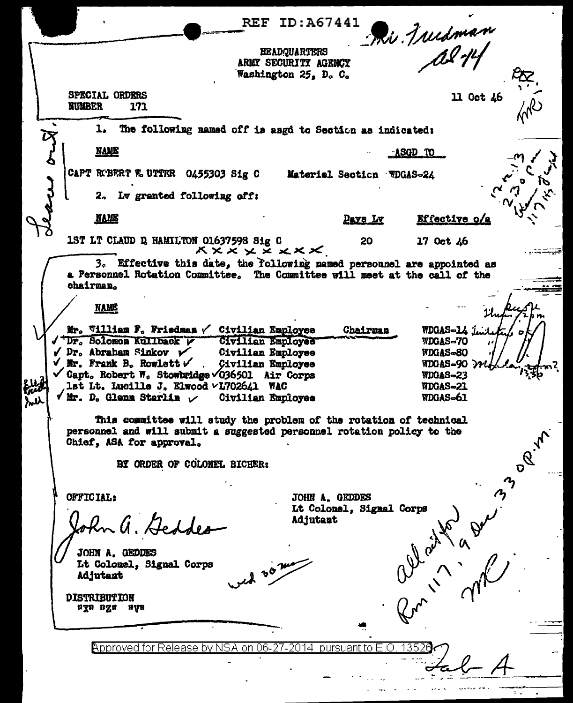|   | REF.                                                                                                                                                                                                                                          | ID:A67441                                                           |                                                        |  |  |  |  |
|---|-----------------------------------------------------------------------------------------------------------------------------------------------------------------------------------------------------------------------------------------------|---------------------------------------------------------------------|--------------------------------------------------------|--|--|--|--|
|   |                                                                                                                                                                                                                                               | <b>HEADQUARTERS</b><br>ARMY SECURITY AGENCY<br>Washington 25, D. C. | Phi Juisman                                            |  |  |  |  |
|   | SPECIAL ORDERS<br><b>NUMBER</b><br>171                                                                                                                                                                                                        |                                                                     | 11 Oct 46                                              |  |  |  |  |
|   | The following named off is asgd to Section as indicated:<br>ı.                                                                                                                                                                                |                                                                     |                                                        |  |  |  |  |
|   | <b>NAME</b>                                                                                                                                                                                                                                   |                                                                     | <u>-ASGD TO</u>                                        |  |  |  |  |
|   | CAPT ROBERT & UTTER 0455303 Sig C                                                                                                                                                                                                             | Materiel Section WDGAS-24                                           |                                                        |  |  |  |  |
|   | 2. Lv granted following off:                                                                                                                                                                                                                  |                                                                     |                                                        |  |  |  |  |
|   | <b>NAME</b>                                                                                                                                                                                                                                   | <b>Days</b> Ly                                                      | Effective o/a                                          |  |  |  |  |
|   | 1ST LT CLAUD D HAMILTON 01637598 Sig C<br><b>XXXXXXXXX</b>                                                                                                                                                                                    | 20                                                                  | 17 Oct 46                                              |  |  |  |  |
|   | 3. Effective this date, the following named personnel are appointed as<br>a Personnel Rotation Committee. The Committee will meet at the call of the<br>chairman.                                                                             |                                                                     |                                                        |  |  |  |  |
|   | <b>NAME</b>                                                                                                                                                                                                                                   |                                                                     |                                                        |  |  |  |  |
|   | Mr. William P. Friedman / Civilian Employee<br>"Dr. Solomon Kullback V<br>Civilian Employee<br>$\checkmark$ Dr. Abraham Sinkov $\checkmark$<br>Civilian Employee                                                                              | Chairman                                                            | WDGAS-14 Juil<br>WDGAS-70<br>WDGAS-80                  |  |  |  |  |
| ሥ | $\checkmark$ Mr. Frank B. Rowlett $\checkmark$<br><b>Civilian Employee</b><br>$\checkmark$ Capt. Robert W. Stowbridge $\checkmark$ 036501 Air Corps<br>lst Lt. Lucille J. Elwood VL702641 WAC<br>√Mr. D. Glenm Starlim ∠<br>Civilian Employee |                                                                     | WDGAS-90 >><br>WDGAS-23<br>WDGAS-21<br><b>NDGAS-61</b> |  |  |  |  |
|   | This committee will study the problem of the rotation of technical<br>personnel and will submit a suggested personnel rotation policy to the<br>Chief, ASA for approval.<br>300Y                                                              |                                                                     |                                                        |  |  |  |  |
|   | BY ORDER OF COLONEL BICHER:                                                                                                                                                                                                                   |                                                                     |                                                        |  |  |  |  |
|   | OFFICIAL:                                                                                                                                                                                                                                     | JOHN A. GEDDES<br>Lt Colonel, Sigmal Corps                          |                                                        |  |  |  |  |
|   |                                                                                                                                                                                                                                               | Adjutant                                                            |                                                        |  |  |  |  |
|   | JOHN A. GEDDES<br>Lt Colomel, Signal Corps<br>id 30 mg<br><b>Adjutant</b>                                                                                                                                                                     |                                                                     |                                                        |  |  |  |  |
|   | <b>DISTRIBUTION</b><br>uyn nga<br>nyn                                                                                                                                                                                                         |                                                                     | Out 11 av                                              |  |  |  |  |
|   | Approved for Release by NSA on 06-2                                                                                                                                                                                                           | 7-2014 -<br>pursuant to E.O                                         |                                                        |  |  |  |  |
|   |                                                                                                                                                                                                                                               |                                                                     |                                                        |  |  |  |  |